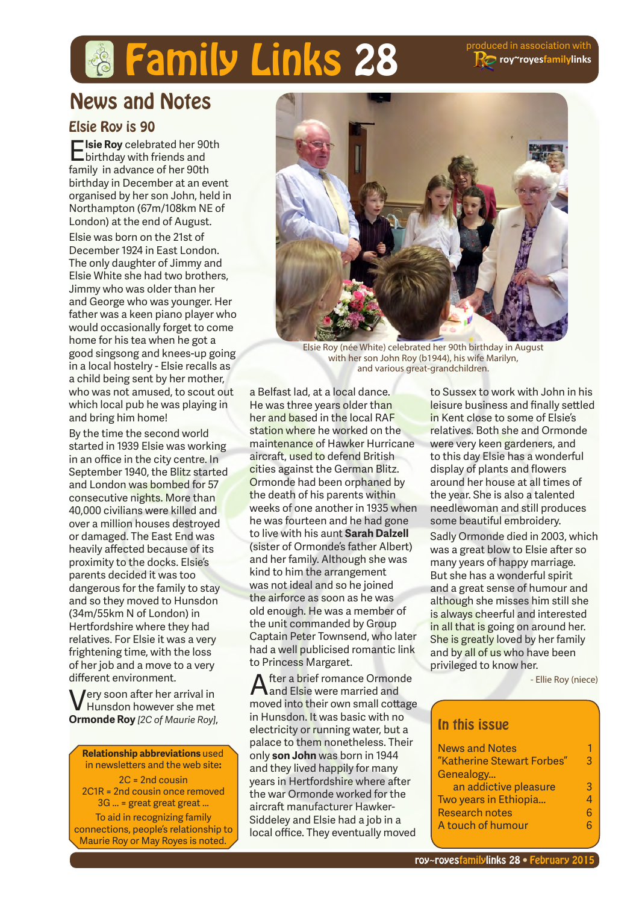# **roy~royesfamilylinks**

# **& Family Links 28** Produced in association with

# News and Notes

### Elsie Roy is 90

E**lsie Roy** celebrated her 90th birthday with friends and family in advance of her 90th birthday in December at an event organised by her son John, held in Northampton (67m/108km NE of London) at the end of August.

Elsie was born on the 21st of December 1924 in East London. The only daughter of Jimmy and Elsie White she had two brothers, Jimmy who was older than her and George who was younger. Her father was a keen piano player who would occasionally forget to come home for his tea when he got a good singsong and knees-up going in a local hostelry - Elsie recalls as a child being sent by her mother, who was not amused, to scout out which local pub he was playing in and bring him home!

By the time the second world started in 1939 Elsie was working in an office in the city centre. In September 1940, the Blitz started and London was bombed for 57 consecutive nights. More than 40,000 civilians were killed and over a million houses destroyed or damaged. The East End was heavily affected because of its proximity to the docks. Elsie's parents decided it was too dangerous for the family to stay and so they moved to Hunsdon (34m/55km N of London) in Hertfordshire where they had relatives. For Elsie it was a very frightening time, with the loss of her job and a move to a very different environment.

Very soon after her arrival in Hunsdon however she met **Ormonde Roy** *[2C of Maurie Roy]*,

**Relationship abbreviations** used in newsletters and the web site**:** 2C = 2nd cousin 2C1R = 2nd cousin once removed 3G ... = great great great ... To aid in recognizing family connections, people's relationship to Maurie Roy or May Royes is noted.



Elsie Roy (née White) celebrated her 90th birthday in August with her son John Roy (b1944), his wife Marilyn, and various great-grandchildren.

a Belfast lad, at a local dance. He was three years older than her and based in the local RAF station where he worked on the maintenance of Hawker Hurricane aircraft, used to defend British cities against the German Blitz. Ormonde had been orphaned by the death of his parents within weeks of one another in 1935 when he was fourteen and he had gone to live with his aunt **Sarah Dalzell** (sister of Ormonde's father Albert) and her family. Although she was kind to him the arrangement was not ideal and so he joined the airforce as soon as he was old enough. He was a member of the unit commanded by Group Captain Peter Townsend, who later had a well publicised romantic link to Princess Margaret.

fter a brief romance Ormonde **L**and Elsie were married and moved into their own small cottage in Hunsdon. It was basic with no electricity or running water, but a palace to them nonetheless. Their only **son John** was born in 1944 and they lived happily for many years in Hertfordshire where after the war Ormonde worked for the aircraft manufacturer Hawker-Siddeley and Elsie had a job in a local office. They eventually moved

to Sussex to work with John in his leisure business and finally settled in Kent close to some of Elsie's relatives. Both she and Ormonde were very keen gardeners, and to this day Elsie has a wonderful display of plants and flowers around her house at all times of the year. She is also a talented needlewoman and still produces some beautiful embroidery.

Sadly Ormonde died in 2003, which was a great blow to Elsie after so many years of happy marriage. But she has a wonderful spirit and a great sense of humour and although she misses him still she is always cheerful and interested in all that is going on around her. She is greatly loved by her family and by all of us who have been privileged to know her.

- Ellie Roy (niece)

### In this issue

| <b>News and Notes</b>      |   |
|----------------------------|---|
| "Katherine Stewart Forbes" | R |
| Genealogy                  |   |
| an addictive pleasure      | 3 |
| Two years in Ethiopia      |   |
| <b>Research notes</b>      |   |
| A touch of humour          |   |
|                            |   |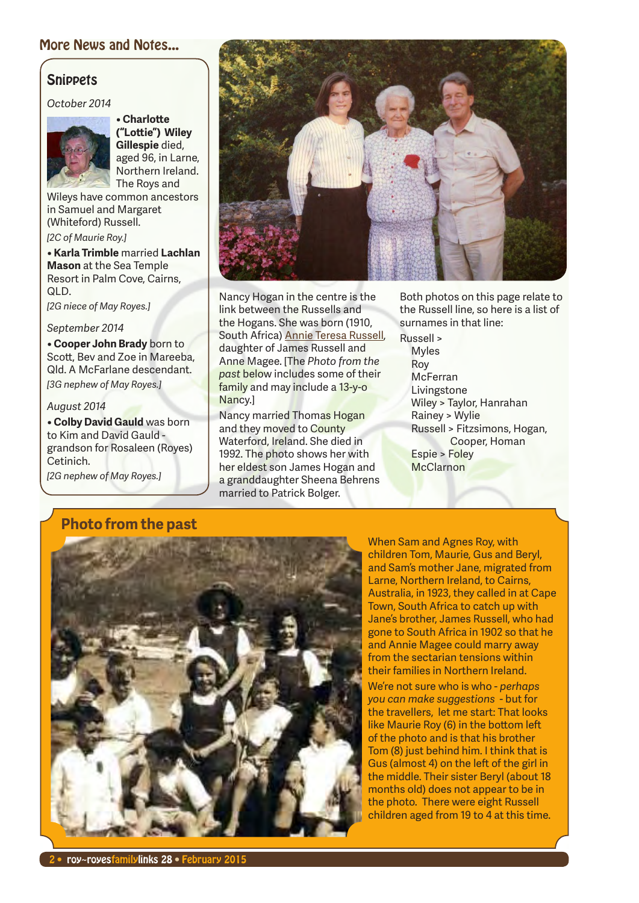### More News and Notes...

### **Snippets**

*October 2014*



**• Charlotte ("Lottie") Wiley Gillespie** died, aged 96, in Larne, Northern Ireland.

The Roys and Wileys have common ancestors in Samuel and Margaret (Whiteford) Russell.

*[2C of Maurie Roy.]*

**• Karla Trimble** married **Lachlan Mason** at the Sea Temple Resort in Palm Cove, Cairns, QLD.

*[2G niece of May Royes.]*

#### *September 2014*

**• Cooper John Brady** born to Scott, Bev and Zoe in Mareeba, Qld. A McFarlane descendant. *[3G nephew of May Royes.]*

#### *August 2014*

**• Colby David Gauld** was born to Kim and David Gauld grandson for Rosaleen (Royes) Cetinich.

*[2G nephew of May Royes.]*



Nancy Hogan in the centre is the link between the Russells and the Hogans. She was born (1910, South Africa) Annie Teresa Russell, daughter of James Russell and Anne Magee. [The *Photo from the past* below includes some of their family and may include a 13-y-o Nancy.]

Nancy married Thomas Hogan and they moved to County Waterford, Ireland. She died in 1992. The photo shows her with her eldest son James Hogan and a granddaughter Sheena Behrens married to Patrick Bolger.

Both photos on this page relate to the Russell line, so here is a list of surnames in that line:

Russell > Myles Roy McFerran Livingstone Wiley > Taylor, Hanrahan Rainey > Wylie Russell > Fitzsimons, Hogan, Cooper, Homan Espie > Foley **McClarnon** 

### **Photo from the past**



When Sam and Agnes Roy, with children Tom, Maurie, Gus and Beryl, and Sam's mother Jane, migrated from Larne, Northern Ireland, to Cairns, Australia, in 1923, they called in at Cape Town, South Africa to catch up with Jane's brother, James Russell, who had gone to South Africa in 1902 so that he and Annie Magee could marry away from the sectarian tensions within their families in Northern Ireland.

We're not sure who is who - *perhaps you can make suggestions* - but for the travellers, let me start: That looks like Maurie Roy (6) in the bottom left of the photo and is that his brother Tom (8) just behind him. I think that is Gus (almost 4) on the left of the girl in the middle. Their sister Beryl (about 18 months old) does not appear to be in the photo. There were eight Russell children aged from 19 to  $\overline{4}$  at this time.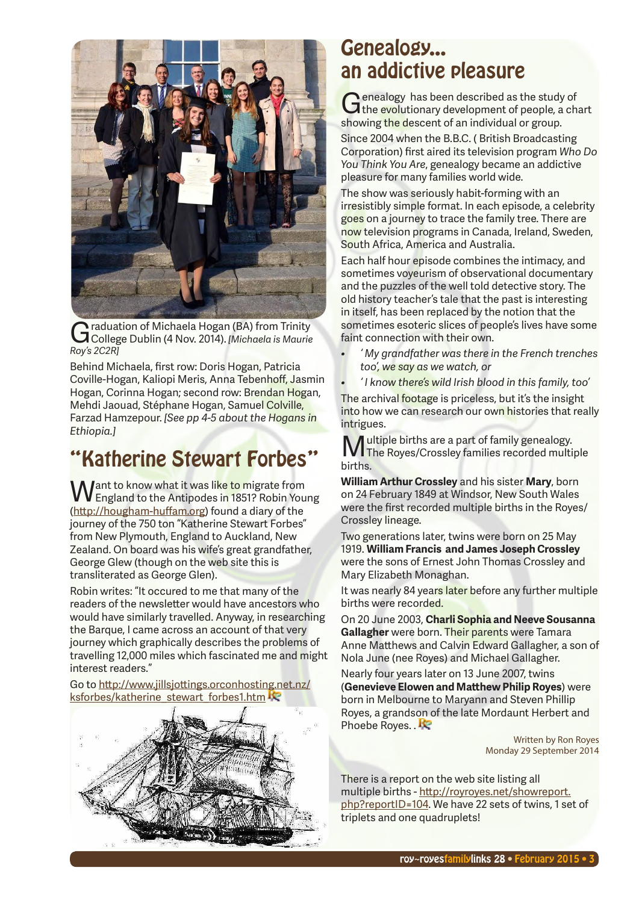

Graduation of Michaela Hogan (BA) from Trinity College Dublin (4 Nov. 2014). *[Michaela is Maurie Roy's 2C2R]*

Behind Michaela, first row: Doris Hogan, Patricia Coville-Hogan, Kaliopi Meris, Anna Tebenhoff, Jasmin Hogan, Corinna Hogan; second row: Brendan Hogan, Mehdi Jaouad, Stéphane Hogan, Samuel Colville, Farzad Hamzepour. *[See pp 4-5 about the Hogans in Ethiopia.]*

# "Katherine Stewart Forbes"

**Want to know what it was like to migrate from**<br>England to the Antipodes in 1851? Robin Young (http://hougham-huffam.org) found a diary of the journey of the 750 ton "Katherine Stewart Forbes" from New Plymouth, England to Auckland, New Zealand. On board was his wife's great grandfather, George Glew (though on the web site this is transliterated as George Glen).

Robin writes: "It occured to me that many of the readers of the newsletter would have ancestors who would have similarly travelled. Anyway, in researching the Barque, I came across an account of that very journey which graphically describes the problems of travelling 12,000 miles which fascinated me and might interest readers."

Go to http://www.jillsjottings.orconhosting.net.nz/ ksforbes/katherine\_stewart\_forbes1.htm



### Genealogy... an addictive pleasure

Genealogy has been described as the study of<br>
G the evolutionary development of people, a chart showing the descent of an individual or group.

Since 2004 when the B.B.C. ( British Broadcasting Corporation) first aired its television program *Who Do You Think You Are*, genealogy became an addictive pleasure for many families world wide.

The show was seriously habit-forming with an irresistibly simple format. In each episode, a celebrity goes on a journey to trace the family tree. There are now television programs in Canada, Ireland, Sweden, South Africa, America and Australia.

Each half hour episode combines the intimacy, and sometimes voyeurism of observational documentary and the puzzles of the well told detective story. The old history teacher's tale that the past is interesting in itself, has been replaced by the notion that the sometimes esoteric slices of people's lives have some faint connection with their own.

- *• ' My grandfather was there in the French trenches too', we say as we watch, or*
- *• ' I know there's wild Irish blood in this family, too'*

The archival footage is priceless, but it's the insight into how we can research our own histories that really intrigues.

Multiple births are a part of family genealogy. The Royes/Crossley families recorded multiple births.

**William Arthur Crossley** and his sister **Mary**, born on 24 February 1849 at Windsor, New South Wales were the first recorded multiple births in the Royes/ Crossley lineage.

Two generations later, twins were born on 25 May 1919. **William Francis and James Joseph Crossley** were the sons of Ernest John Thomas Crossley and Mary Elizabeth Monaghan.

It was nearly 84 years later before any further multiple births were recorded.

On 20 June 2003, **Charli Sophia and Neeve Sousanna Gallagher** were born. Their parents were Tamara Anne Matthews and Calvin Edward Gallagher, a son of Nola June (nee Royes) and Michael Gallagher.

Nearly four years later on 13 June 2007, twins (**Genevieve Elowen and Matthew Philip Royes**) were born in Melbourne to Maryann and Steven Phillip Royes, a grandson of the late Mordaunt Herbert and Phoebe Royes. .

> Written by Ron Royes Monday 29 September 2014

There is a report on the web site listing all multiple births - http://royroyes.net/showreport. php?reportID=104. We have 22 sets of twins, 1 set of triplets and one quadruplets!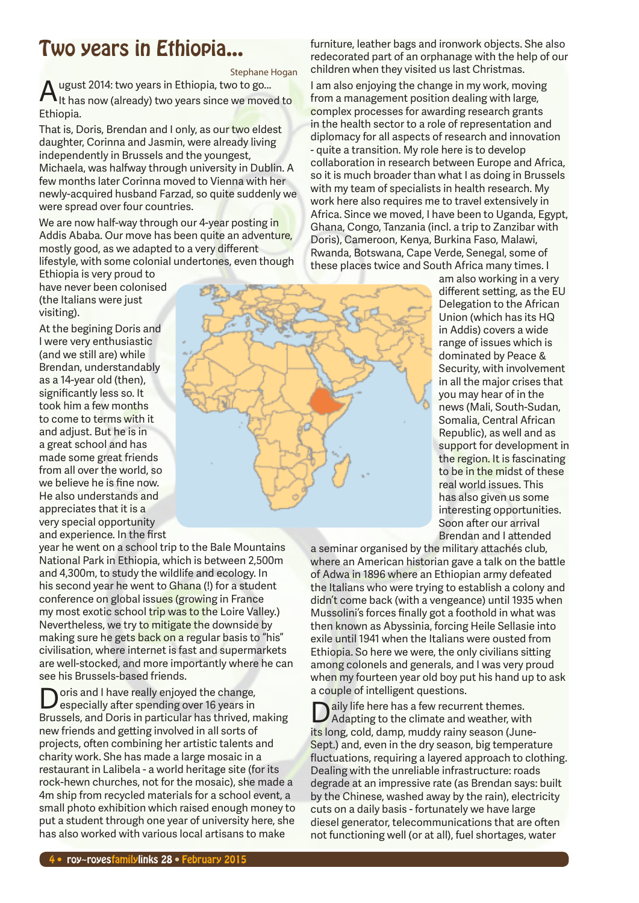# Two years in Ethiopia...

Stephane Hogan A ugust 2014: two years in Ethiopia, two to go...<br>Alt has now (already) two years since we moved to

Ethiopia. That is, Doris, Brendan and I only, as our two eldest

daughter, Corinna and Jasmin, were already living independently in Brussels and the youngest, Michaela, was halfway through university in Dublin. A few months later Corinna moved to Vienna with her newly-acquired husband Farzad, so quite suddenly we were spread over four countries.

We are now half-way through our 4-year posting in Addis Ababa. Our move has been quite an adventure, mostly good, as we adapted to a very different lifestyle, with some colonial undertones, even though

Ethiopia is very proud to have never been colonised (the Italians were just visiting).

At the begining Doris and I were very enthusiastic (and we still are) while Brendan, understandably as a 14-year old (then), significantly less so. It took him a few months to come to terms with it and adjust. But he is in a great school and has made some great friends from all over the world, so we believe he is fine now. He also understands and appreciates that it is a very special opportunity and experience. In the first

year he went on a school trip to the Bale Mountains National Park in Ethiopia, which is between 2,500m and 4,300m, to study the wildlife and ecology. In his second year he went to Ghana (!) for a student conference on global issues (growing in France my most exotic school trip was to the Loire Valley.) Nevertheless, we try to mitigate the downside by making sure he gets back on a regular basis to "his" civilisation, where internet is fast and supermarkets are well-stocked, and more importantly where he can see his Brussels-based friends.

oris and I have really enjoyed the change, especially after spending over 16 years in Brussels, and Doris in particular has thrived, making new friends and getting involved in all sorts of projects, often combining her artistic talents and charity work. She has made a large mosaic in a restaurant in Lalibela - a world heritage site (for its rock-hewn churches, not for the mosaic), she made a 4m ship from recycled materials for a school event, a small photo exhibition which raised enough money to put a student through one year of university here, she has also worked with various local artisans to make

furniture, leather bags and ironwork objects. She also redecorated part of an orphanage with the help of our children when they visited us last Christmas.

I am also enjoying the change in my work, moving from a management position dealing with large, complex processes for awarding research grants in the health sector to a role of representation and diplomacy for all aspects of research and innovation - quite a transition. My role here is to develop collaboration in research between Europe and Africa, so it is much broader than what I as doing in Brussels with my team of specialists in health research. My work here also requires me to travel extensively in Africa. Since we moved, I have been to Uganda, Egypt, Ghana, Congo, Tanzania (incl. a trip to Zanzibar with Doris), Cameroon, Kenya, Burkina Faso, Malawi, Rwanda, Botswana, Cape Verde, Senegal, some of these places twice and South Africa many times. I



a seminar organised by the military attachés club, where an American historian gave a talk on the battle of Adwa in 1896 where an Ethiopian army defeated the Italians who were trying to establish a colony and didn't come back (with a vengeance) until 1935 when Mussolini's forces finally got a foothold in what was then known as Abyssinia, forcing Heile Sellasie into exile until 1941 when the Italians were ousted from Ethiopia. So here we were, the only civilians sitting among colonels and generals, and I was very proud when my fourteen year old boy put his hand up to ask a couple of intelligent questions.

aily life here has a few recurrent themes. Adapting to the climate and weather, with its long, cold, damp, muddy rainy season (June-Sept.) and, even in the dry season, big temperature fluctuations, requiring a layered approach to clothing. Dealing with the unreliable infrastructure: roads degrade at an impressive rate (as Brendan says: built by the Chinese, washed away by the rain), electricity cuts on a daily basis - fortunately we have large diesel generator, telecommunications that are often not functioning well (or at all), fuel shortages, water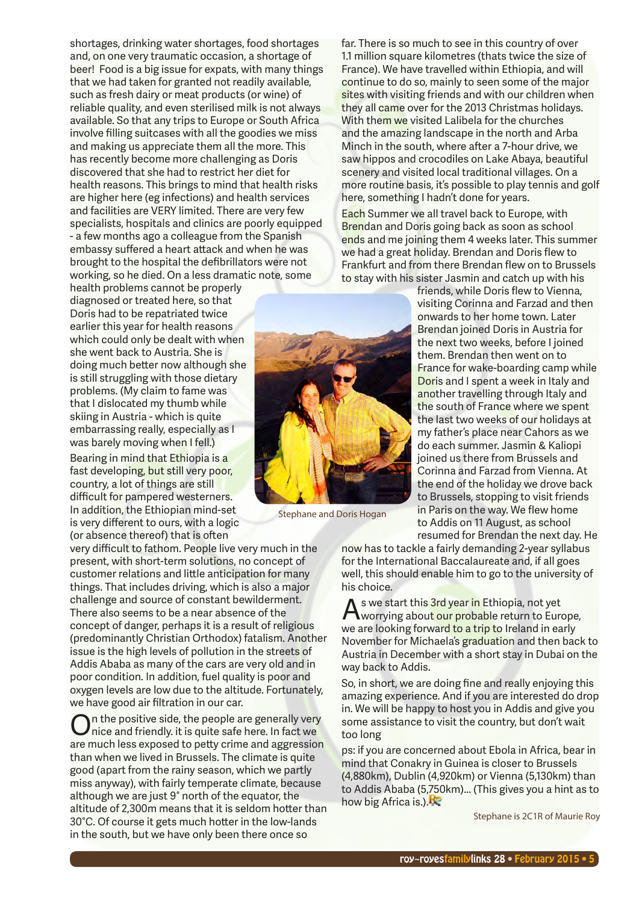shortages, drinking water shortages, food shortages and, on one very traumatic occasion, a shortage of beer! Food is a big issue for expats, with many things that we had taken for granted not readily available, such as fresh dairy or meat products (or wine) of reliable quality, and even sterilised milk is not always available. So that any trips to Europe or South Africa involve filling suitcases with all the goodies we miss and making us appreciate them all the more. This has recently become more challenging as Doris discovered that she had to restrict her diet for health reasons. This brings to mind that health risks are higher here (eg infections) and health services and facilities are VERY limited. There are very few specialists, hospitals and clinics are poorly equipped - a few months ago a colleague from the Spanish embassy suffered a heart attack and when he was brought to the hospital the defibrillators were not working, so he died. On a less dramatic note, some

health problems cannot be properly diagnosed or treated here, so that Doris had to be repatriated twice earlier this year for health reasons which could only be dealt with when she went back to Austria. She is doing much better now although she is still struggling with those dietary problems. (My claim to fame was that I dislocated my thumb while skiing in Austria - which is quite embarrassing really, especially as I was barely moving when I fell.)

Bearing in mind that Ethiopia is a fast developing, but still very poor, country, a lot of things are still difficult for pampered westerners. In addition, the Ethiopian mind-set is very different to ours, with a logic (or absence thereof) that is often

very difficult to fathom. People live very much in the present, with short-term solutions, no concept of customer relations and little anticipation for many things. That includes driving, which is also a major challenge and source of constant bewilderment. There also seems to be a near absence of the concept of danger, perhaps it is a result of religious (predominantly Christian Orthodox) fatalism. Another issue is the high levels of pollution in the streets of Addis Ababa as many of the cars are very old and in poor condition. In addition, fuel quality is poor and oxygen levels are low due to the altitude. Fortunately, we have good air filtration in our car.

On the positive side, the people are generally very nice and friendly. It is quite safe here. In fact we are much less exposed to petty crime and aggression than when we lived in Brussels. The climate is quite good (apart from the rainy season, which we partly miss anyway), with fairly temperate climate, because although we are just 9° north of the equator, the altitude of 2,300m means that it is seldom hotter than 30°C. Of course it gets much hotter in the low-lands in the south, but we have only been there once so

Stephane and Doris Hogan

far. There is so much to see in this country of over 1.1 million square kilometres (thats twice the size of France). We have travelled within Ethiopia, and will continue to do so, mainly to seen some of the major sites with visiting friends and with our children when they all came over for the 2013 Christmas holidays. With them we visited Lalibela for the churches and the amazing landscape in the north and Arba Minch in the south, where after a 7-hour drive, we saw hippos and crocodiles on Lake Abaya, beautiful scenery and visited local traditional villages. On a more routine basis, it's possible to play tennis and golf here, something I hadn't done for years.

Each Summer we all travel back to Europe, with Brendan and Doris going back as soon as school ends and me joining them 4 weeks later. This summer we had a great holiday. Brendan and Doris flew to Frankfurt and from there Brendan flew on to Brussels to stay with his sister Jasmin and catch up with his

> friends, while Doris flew to Vienna, visiting Corinna and Farzad and then onwards to her home town. Later Brendan joined Doris in Austria for the next two weeks, before I joined them. Brendan then went on to France for wake-boarding camp while Doris and I spent a week in Italy and another travelling through Italy and the south of France where we spent the last two weeks of our holidays at my father's place near Cahors as we do each summer. Jasmin & Kaliopi joined us there from Brussels and Corinna and Farzad from Vienna. At the end of the holiday we drove back to Brussels, stopping to visit friends in Paris on the way. We flew home to Addis on 11 August, as school resumed for Brendan the next day. He

now has to tackle a fairly demanding 2-year syllabus for the International Baccalaureate and, if all goes well, this should enable him to go to the university of his choice.

As we start this 3rd year in Ethiopia, not yet worrying about our probable return to Europe, we are looking forward to a trip to Ireland in early November for Michaela's graduation and then back to Austria in December with a short stay in Dubai on the way back to Addis.

So, in short, we are doing fine and really enjoying this amazing experience. And if you are interested do drop in. We will be happy to host you in Addis and give you some assistance to visit the country, but don't wait too long

ps: if you are concerned about Ebola in Africa, bear in mind that Conakry in Guinea is closer to Brussels (4,880km), Dublin (4,920km) or Vienna (5,130km) than to Addis Ababa (5,750km)... (This gives you a hint as to how big Africa is.).

Stephane is 2C1R of Maurie Roy



roy~royesfamilylinks 28 • February 2015 • 5